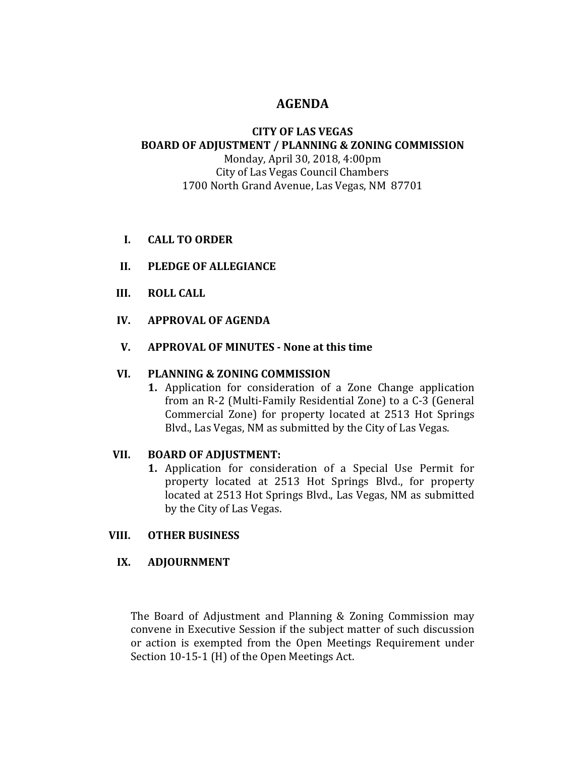# **AGENDA**

## **CITY OF LAS VEGAS BOARD OF ADJUSTMENT / PLANNING & ZONING COMMISSION**

Monday, April 30, 2018, 4:00pm City of Las Vegas Council Chambers 1700 North Grand Avenue, Las Vegas, NM 87701

- **I. CALL TO ORDER**
- **II. PLEDGE OF ALLEGIANCE**
- **III. ROLL CALL**
- **IV. APPROVAL OF AGENDA**
- **V. APPROVAL OF MINUTES - None at this time**

### **VI. PLANNING & ZONING COMMISSION**

**1.** Application for consideration of a Zone Change application from an R-2 (Multi-Family Residential Zone) to a C-3 (General Commercial Zone) for property located at 2513 Hot Springs Blvd., Las Vegas, NM as submitted by the City of Las Vegas.

### **VII. BOARD OF ADJUSTMENT:**

**1.** Application for consideration of a Special Use Permit for property located at 2513 Hot Springs Blvd., for property located at 2513 Hot Springs Blvd., Las Vegas, NM as submitted by the City of Las Vegas.

### **VIII. OTHER BUSINESS**

### **IX. ADJOURNMENT**

The Board of Adjustment and Planning & Zoning Commission may convene in Executive Session if the subject matter of such discussion or action is exempted from the Open Meetings Requirement under Section 10-15-1 (H) of the Open Meetings Act.